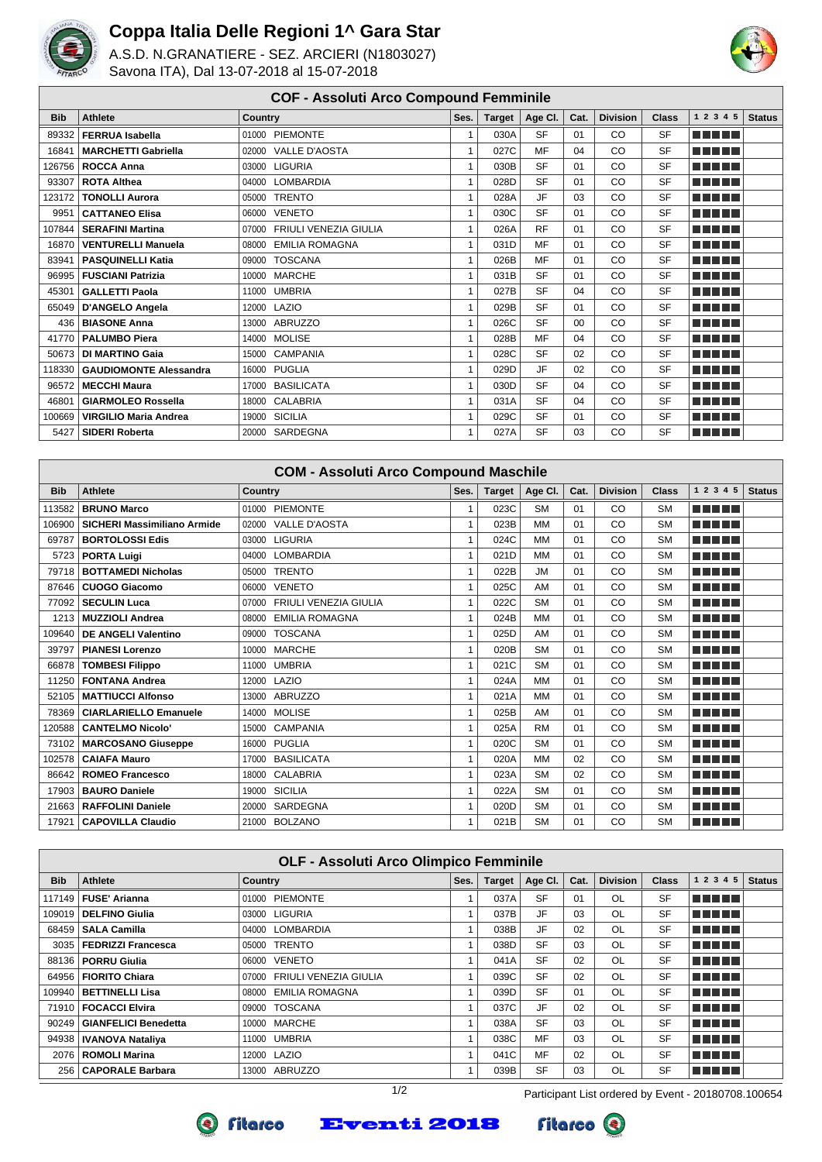

## **Coppa Italia Delle Regioni 1^ Gara Star**

A.S.D. N.GRANATIERE - SEZ. ARCIERI (N1803027) Savona ITA), Dal 13-07-2018 al 15-07-2018



## **COF - Assoluti Arco Compound Femminile**

| <b>Bib</b> | <b>Athlete</b>                | <b>Country</b>              | Ses.           | <b>Target</b> | Age Cl.   | Cat.           | <b>Division</b> | <b>Class</b> | 1 2 3 4 5       | <b>Status</b> |
|------------|-------------------------------|-----------------------------|----------------|---------------|-----------|----------------|-----------------|--------------|-----------------|---------------|
| 89332      | <b>FERRUA Isabella</b>        | 01000 PIEMONTE              | 1              | 030A          | <b>SF</b> | 01             | <b>CO</b>       | <b>SF</b>    | a da birnin bir |               |
| 16841      | <b>MARCHETTI Gabriella</b>    | 02000 VALLE D'AOSTA         | 1              | 027C          | MF        | 04             | CO              | <b>SF</b>    | MA MARI         |               |
|            | 126756   ROCCA Anna           | 03000 LIGURIA               | $\overline{1}$ | 030B          | <b>SF</b> | 01             | CO              | <b>SF</b>    | n na ma         |               |
| 93307      | <b>ROTA Althea</b>            | 04000 LOMBARDIA             | $\overline{1}$ | 028D          | <b>SF</b> | 01             | CO              | <b>SF</b>    | n na mata       |               |
| 123172     | <b>TONOLLI Aurora</b>         | <b>TRENTO</b><br>05000      | 1              | 028A          | <b>JF</b> | 03             | CO              | <b>SF</b>    | MA MARIT        |               |
| 9951       | <b>CATTANEO Elisa</b>         | 06000 VENETO                | $\overline{1}$ | 030C          | <b>SF</b> | 01             | CO              | <b>SF</b>    | n na ma         |               |
| 107844 l   | <b>SERAFINI Martina</b>       | 07000 FRIULI VENEZIA GIULIA | 1              | 026A          | <b>RF</b> | 01             | CO              | <b>SF</b>    | a da birnin bir |               |
| 16870      | <b>VENTURELLI Manuela</b>     | EMILIA ROMAGNA<br>08000     | $\overline{1}$ | 031D          | MF        | 01             | CO              | <b>SF</b>    | T FITTER        |               |
| 83941      | <b>PASQUINELLI Katia</b>      | <b>TOSCANA</b><br>09000     | $\overline{1}$ | 026B          | MF        | 01             | CO              | <b>SF</b>    | n din bir       |               |
| 96995      | <b>FUSCIANI Patrizia</b>      | 10000 MARCHE                | $\overline{1}$ | 031B          | <b>SF</b> | 01             | CO              | <b>SF</b>    | n din se        |               |
| 45301      | <b>GALLETTI Paola</b>         | 11000 UMBRIA                | 1              | 027B          | <b>SF</b> | 04             | CO              | <b>SF</b>    | a da birnin bir |               |
| 65049      | D'ANGELO Angela               | 12000 LAZIO                 | $\overline{1}$ | 029B          | <b>SF</b> | 01             | CO              | SF           | ma matsa        |               |
|            | 436   BIASONE Anna            | 13000 ABRUZZO               | 1              | 026C          | <b>SF</b> | 0 <sub>0</sub> | CO              | <b>SF</b>    | ma mata         |               |
|            | 41770   PALUMBO Piera         | 14000 MOLISE                | 1              | 028B          | MF        | 04             | CO              | <b>SF</b>    | a da birnin bir |               |
| 50673      | <b>DI MARTINO Gaia</b>        | 15000 CAMPANIA              | 1              | 028C          | <b>SF</b> | 02             | CO              | <b>SF</b>    | n din Film      |               |
| 118330     | <b>GAUDIOMONTE Alessandra</b> | 16000 PUGLIA                | 1              | 029D          | <b>JF</b> | 02             | CO              | <b>SF</b>    | n ni min        |               |
| 96572      | <b>MECCHI Maura</b>           | 17000 BASILICATA            | $\overline{1}$ | 030D          | <b>SF</b> | 04             | CO              | <b>SF</b>    | n na ma         |               |
| 46801      | <b>GIARMOLEO Rossella</b>     | 18000 CALABRIA              |                | 031A          | <b>SF</b> | 04             | <b>CO</b>       | <b>SF</b>    | <b>THE REAL</b> |               |
| 100669     | <b>VIRGILIO Maria Andrea</b>  | 19000 SICILIA               | $\overline{1}$ | 029C          | <b>SF</b> | 01             | CO              | <b>SF</b>    | n din bir       |               |
| 5427       | <b>SIDERI Roberta</b>         | 20000 SARDEGNA              | 1              | 027A          | <b>SF</b> | 03             | CO              | <b>SF</b>    | a da bar        |               |

|            | <b>COM - Assoluti Arco Compound Maschile</b> |                                       |      |               |           |      |                 |              |            |               |  |  |
|------------|----------------------------------------------|---------------------------------------|------|---------------|-----------|------|-----------------|--------------|------------|---------------|--|--|
| <b>Bib</b> | <b>Athlete</b>                               | <b>Country</b>                        | Ses. | <b>Target</b> | Age CI.   | Cat. | <b>Division</b> | <b>Class</b> | 1 2 3 4 5  | <b>Status</b> |  |  |
| 113582     | <b>BRUNO Marco</b>                           | 01000 PIEMONTE                        | 1    | 023C          | <b>SM</b> | 01   | CO              | <b>SM</b>    | a da birni |               |  |  |
| 106900     | SICHERI Massimiliano Armide                  | <b>VALLE D'AOSTA</b><br>02000         | 1    | 023B          | <b>MM</b> | 01   | CO              | <b>SM</b>    | a da birni |               |  |  |
| 69787      | <b>BORTOLOSSI Edis</b>                       | 03000 LIGURIA                         | 1    | 024C          | <b>MM</b> | 01   | CO              | <b>SM</b>    | M M M M M  |               |  |  |
| 5723       | <b>PORTA Luigi</b>                           | 04000 LOMBARDIA                       | 1    | 021D          | <b>MM</b> | 01   | CO              | <b>SM</b>    | ma mata    |               |  |  |
| 79718      | <b>BOTTAMEDI Nicholas</b>                    | <b>TRENTO</b><br>05000                | 1    | 022B          | <b>JM</b> | 01   | CO              | <b>SM</b>    | ma mata    |               |  |  |
| 87646      | <b>CUOGO Giacomo</b>                         | 06000 VENETO                          | 1    | 025C          | AM        | 01   | CO              | <b>SM</b>    | a da birni |               |  |  |
| 77092      | <b>SECULIN Luca</b>                          | <b>FRIULI VENEZIA GIULIA</b><br>07000 | 1    | 022C          | <b>SM</b> | 01   | CO              | <b>SM</b>    | a shekara  |               |  |  |
| 1213       | <b>MUZZIOLI Andrea</b>                       | <b>EMILIA ROMAGNA</b><br>08000        | 1    | 024B          | <b>MM</b> | 01   | CO              | <b>SM</b>    | n din bin  |               |  |  |
| 109640     | <b>DE ANGELI Valentino</b>                   | <b>TOSCANA</b><br>09000               | 1    | 025D          | AM        | 01   | CO              | <b>SM</b>    | a da birni |               |  |  |
| 39797      | <b>PIANESI Lorenzo</b>                       | 10000 MARCHE                          | 1    | 020B          | <b>SM</b> | 01   | CO              | <b>SM</b>    | n din bin  |               |  |  |
| 66878      | <b>TOMBESI Filippo</b>                       | 11000 UMBRIA                          | 1    | 021C          | <b>SM</b> | 01   | CO              | <b>SM</b>    | ma mata    |               |  |  |
| 11250      | <b>FONTANA Andrea</b>                        | 12000 LAZIO                           | 1    | 024A          | <b>MM</b> | 01   | CO              | <b>SM</b>    | MA MARIT   |               |  |  |
| 52105      | <b>MATTIUCCI Alfonso</b>                     | ABRUZZO<br>13000                      | 1    | 021A          | <b>MM</b> | 01   | CO              | <b>SM</b>    | n na mar   |               |  |  |
| 78369      | <b>CIARLARIELLO Emanuele</b>                 | <b>MOLISE</b><br>14000                | 1    | 025B          | AM        | 01   | CO              | <b>SM</b>    | a shekara  |               |  |  |
| 120588     | <b>CANTELMO Nicolo'</b>                      | <b>CAMPANIA</b><br>15000              | 1    | 025A          | <b>RM</b> | 01   | CO              | <b>SM</b>    | a shekara  |               |  |  |
| 73102      | <b>MARCOSANO Giuseppe</b>                    | 16000 PUGLIA                          | 1    | 020C          | <b>SM</b> | 01   | CO              | <b>SM</b>    | a shekara  |               |  |  |
| 102578     | <b>CAIAFA Mauro</b>                          | 17000 BASILICATA                      | 1    | 020A          | <b>MM</b> | 02   | CO              | <b>SM</b>    | M M M M M  |               |  |  |
| 86642      | <b>ROMEO Francesco</b>                       | 18000 CALABRIA                        | 1    | 023A          | <b>SM</b> | 02   | CO              | <b>SM</b>    | MA MARIT   |               |  |  |
| 17903      | <b>BAURO Daniele</b>                         | <b>SICILIA</b><br>19000               | 1    | 022A          | <b>SM</b> | 01   | CO              | <b>SM</b>    | MA MARIT   |               |  |  |
| 21663      | <b>RAFFOLINI Daniele</b>                     | SARDEGNA<br>20000                     | 1    | 020D          | <b>SM</b> | 01   | CO              | <b>SM</b>    | M M M M M  |               |  |  |
| 17921      | <b>CAPOVILLA Claudio</b>                     | <b>BOLZANO</b><br>21000               | 1    | 021B          | <b>SM</b> | 01   | CO              | <b>SM</b>    | n na mar   |               |  |  |

|            | <b>OLF - Assoluti Arco Olimpico Femminile</b> |                                |      |               |           |      |                 |              |                           |               |  |  |
|------------|-----------------------------------------------|--------------------------------|------|---------------|-----------|------|-----------------|--------------|---------------------------|---------------|--|--|
| <b>Bib</b> | Athlete                                       | <b>Country</b>                 | Ses. | <b>Target</b> | Age Cl.   | Cat. | <b>Division</b> | <b>Class</b> | 1 2 3 4<br>5 <sup>5</sup> | <b>Status</b> |  |  |
| 117149     | <b>FUSE' Arianna</b>                          | 01000 PIEMONTE                 |      | 037A          | <b>SF</b> | 01   | OL              | <b>SF</b>    | <b>RETER</b>              |               |  |  |
| 109019     | <b>DELFINO Giulia</b>                         | 03000 LIGURIA                  |      | 037B          | JF        | 03   | OL              | <b>SF</b>    | l Titolin Titolin         |               |  |  |
| 68459      | <b>SALA Camilla</b>                           | 04000 LOMBARDIA                |      | 038B          | JF        | 02   | OL              | <b>SF</b>    | <b>RETER</b>              |               |  |  |
| 3035       | <b>FEDRIZZI Francesca</b>                     | <b>TRENTO</b><br>05000         |      | 038D          | <b>SF</b> | 03   | OL              | <b>SF</b>    | <b>RETER</b>              |               |  |  |
| 88136      | <b>PORRU Giulia</b>                           | 06000 VENETO                   |      | 041A          | <b>SF</b> | 02   | OL              | <b>SF</b>    | <b>RETER</b>              |               |  |  |
| 64956      | <b>FIORITO Chiara</b>                         | FRIULI VENEZIA GIULIA<br>07000 |      | 039C          | <b>SF</b> | 02   | OL              | <b>SF</b>    | <b>REBELL</b>             |               |  |  |
| 109940     | <b>BETTINELLI Lisa</b>                        | EMILIA ROMAGNA<br>08000        |      | 039D          | <b>SF</b> | 01   | OL              | <b>SF</b>    | <u>Finition in the </u>   |               |  |  |
| 71910      | <b>FOCACCI Elvira</b>                         | 09000 TOSCANA                  |      | 037C          | JF        | 02   | OL              | <b>SF</b>    | <b>REBELL</b>             |               |  |  |
| 90249      | <b>GIANFELICI Benedetta</b>                   | 10000 MARCHE                   |      | 038A          | <b>SF</b> | 03   | OL              | <b>SF</b>    | <b>RETER</b>              |               |  |  |
| 94938      | <b>IVANOVA Nataliya</b>                       | UMBRIA<br>11000                |      | 038C          | MF        | 03   | OL              | <b>SF</b>    | <b>REBELL</b>             |               |  |  |
| 2076       | <b>ROMOLI Marina</b>                          | 12000 LAZIO                    |      | 041C          | MF        | 02   | OL              | <b>SF</b>    | l Titolin Titolin         |               |  |  |
| 256        | <b>CAPORALE Barbara</b>                       | 13000 ABRUZZO                  |      | 039B          | <b>SF</b> | 03   | OL              | <b>SF</b>    | 'n mens                   |               |  |  |

**Eventi 2018** 



**Q** fitarco

1/2 Participant List ordered by Event - 20180708.100654

**Fitarco** <sup>3</sup>